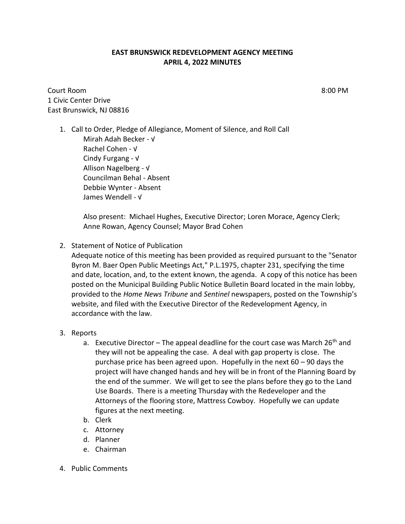## **EAST BRUNSWICK REDEVELOPMENT AGENCY MEETING APRIL 4, 2022 MINUTES**

Court Room 8:00 PM 1 Civic Center Drive East Brunswick, NJ 08816

1. Call to Order, Pledge of Allegiance, Moment of Silence, and Roll Call Mirah Adah Becker - √ Rachel Cohen - √ Cindy Furgang - √ Allison Nagelberg - √ Councilman Behal - Absent Debbie Wynter - Absent James Wendell - √

Also present: Michael Hughes, Executive Director; Loren Morace, Agency Clerk; Anne Rowan, Agency Counsel; Mayor Brad Cohen

2. Statement of Notice of Publication

Adequate notice of this meeting has been provided as required pursuant to the "Senator Byron M. Baer Open Public Meetings Act," P.L.1975, chapter 231, specifying the time and date, location, and, to the extent known, the agenda. A copy of this notice has been posted on the Municipal Building Public Notice Bulletin Board located in the main lobby, provided to the *Home News Tribune* and *Sentinel* newspapers, posted on the Township's website, and filed with the Executive Director of the Redevelopment Agency, in accordance with the law.

- 3. Reports
	- a. Executive Director The appeal deadline for the court case was March 26<sup>th</sup> and they will not be appealing the case. A deal with gap property is close. The purchase price has been agreed upon. Hopefully in the next 60 – 90 days the project will have changed hands and hey will be in front of the Planning Board by the end of the summer. We will get to see the plans before they go to the Land Use Boards. There is a meeting Thursday with the Redeveloper and the Attorneys of the flooring store, Mattress Cowboy. Hopefully we can update figures at the next meeting.
	- b. Clerk
	- c. Attorney
	- d. Planner
	- e. Chairman
- 4. Public Comments